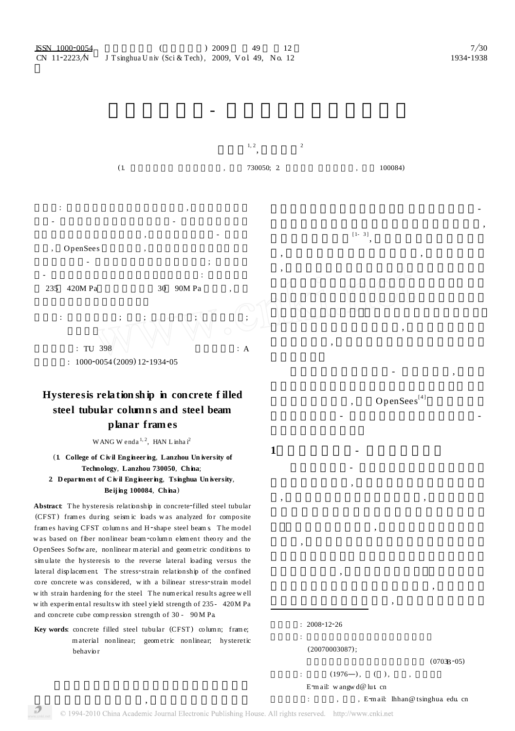

# **Hysteresis relation sh ip in concrete f illed steel tubular column s and steel beam planar fram es**

WANG W enda  $^{1, 2}$ , HAN L inha i<sup>2</sup>

## (**1**. **College of C iv il Eng ineering**, **Lanzhou Un iversity of Technology**, **Lanzhou 730050**, **China**;

### **2**. **D epartmen t of C iv il Engineer ing**, **Tsinghua Un iversity**, **Beij ing 100084**, **Ch ina**)

Abstract: The hysteresis relationship in concrete-filled steel tubular (CFST) frames during seismic loads was analyzed for composite fram es having CFST columns and H-shape steel beam s. The model w as based on fiber nonlinear beam-column element theory and the OpenSees Softw are, nonlinear m aterial and geom etric conditions to sim ulate the hysteresis to the reverse lateral loading versus the lateral displacem ent. The stress-strain relationship of the confined core concrete was considered, with a bilinear stress-strain model w ith strain hardening for the steel. The num erical results agree well w ith experim ental results w ith steel yield strength of 235 - 420M Pa and concrete cube comp ression strength of 30 - 90 M Pa.

**Key words**: concrete filled steel tubular (CFST) co lum n; fram e; m aterial nonlinear; geom etric nonlinear; hysteretic behavio r

**2** 2008-12-26 **基金项目**: 高等学校博士学科点专项科研基金项目 (20070003087);  $(0703B - 05)$ <br> $( )$ , , **:**  $(1976-),$ **1** 非线性纤维梁- 柱单元理论模型 非线性纤维梁- 柱单元理论中将结构构件沿长  $\overline{a}$ ,  $\,$  $\overline{\phantom{a}}$  $\overline{\phantom{a}}$ 料单轴应力强度, 即认为此单元屈服。该方法中必须  $\,$  $\overline{\phantom{a}}$ 

 $Openses^{[4]}$ 

了钢管混凝土柱- 钢梁平面框架往复加载时荷载-

Email: wangw d@ lut. cn

 $\overline{\phantom{a}}$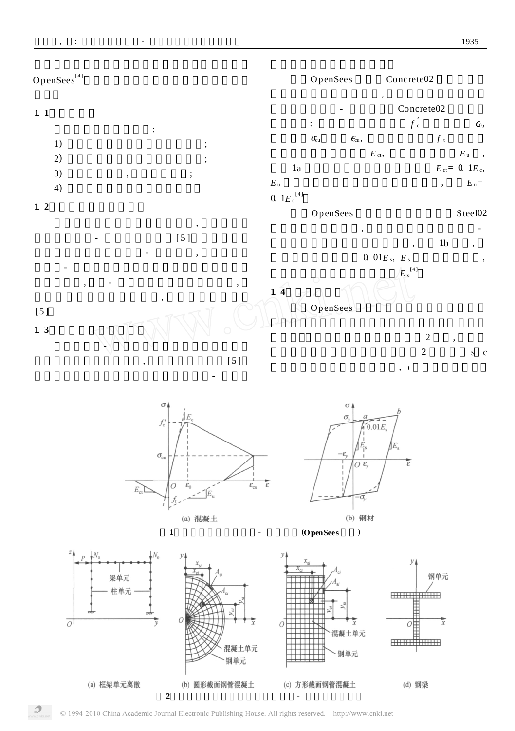









 $\mathcal{P}$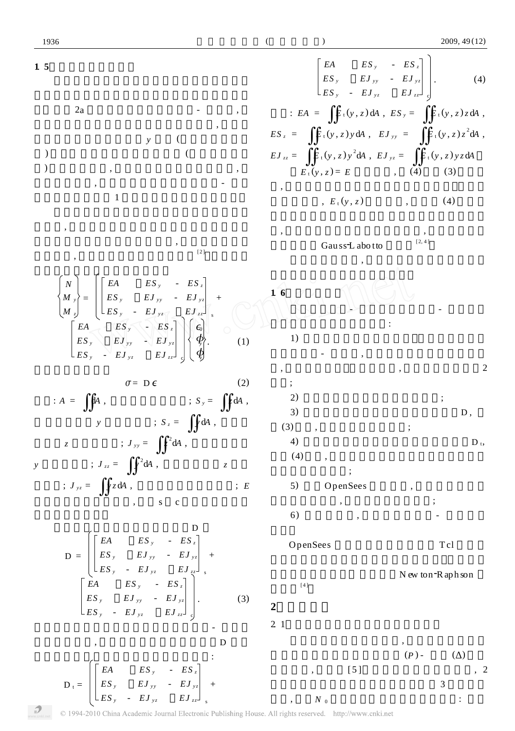**1**. **5 非线性方程的建立** 解。如图2a 所示离散后的框架中的梁- 柱单元, 点处截面又划分为一系列的材料纤维单元, 每个单 元的几何特性由其面积和*y* 坐标(即距形心轴的距 ) 定义。假定在每个纤维单元内 (如果面积足够 ) 应力均匀分布, 大小与单元中心的应力相同, 向沿杆件轴线, 这样材料纤维单元内的应力- 应变 全曲线即可采用图1 所示的材料本构模型来描述。 线模量, 然后利用求得的材料切线模量和相应的单 元几何特性确定各个单元的贡献, 最后将各单元的 贡献迭加, 从而获得截面切线刚度矩阵 [2 ]。按照以上 方法可得到截面线性刚度方程为 *N M <sup>y</sup> M <sup>z</sup>* = *EA ES <sup>y</sup>* - *ES <sup>z</sup> ES <sup>y</sup> EJ y y* - *EJ y z ES <sup>y</sup>* - *EJ y z EJ z z* <sup>s</sup> + *EA ES <sup>y</sup>* - *ES <sup>z</sup> ES <sup>y</sup> EJ y y* - *EJ y z ES <sup>y</sup>* - *EJ y z EJ z z* <sup>c</sup> Ε0 <*y* <*z* . (1) <sup>Ρ</sup> <sup>=</sup> <sup>D</sup> <sup>Ε</sup>. (2) 式中: *A* = κ<sup>d</sup>*<sup>A</sup>* , 为材料截面的面积; *<sup>S</sup> <sup>y</sup>* <sup>=</sup> κ*<sup>z</sup>* <sup>d</sup>*<sup>A</sup>* , 为材料截面对*y* 轴的面积矩; *S <sup>z</sup>* = κ*<sup>y</sup>* <sup>d</sup>*<sup>A</sup>* , 为材料 截面对*z* 轴的面积矩; *J y y* = κ*z* 2 d*A* , 为材料截面对 *y* 轴的惯性矩; *J z z* = κ*y* 2 d*A* , 为材料截面对*z* 轴的 惯性矩; *J y z* = κ*y z* <sup>d</sup>*<sup>A</sup>* , 为材料截面的极惯性矩; *<sup>E</sup>* 为单元材料的弹性模量, 下标s c 分别代表钢管单 则钢管混凝土截面线性刚度矩阵D D = *EA ES <sup>y</sup>* - *ES <sup>z</sup> ES <sup>y</sup> EJ y y* - *EJ y z ES <sup>y</sup>* - *EJ y z EJ z z* <sup>s</sup> + *EA ES <sup>y</sup>* - *ES <sup>z</sup> ES <sup>y</sup> EJ y y* - *EJ y z ES <sup>y</sup>* - *EJ y z EJ z z* <sup>c</sup> . (3) 当钢管混凝土中钢管和混凝土的应力- 应变关 系为非线性时, 可采用类似于切线刚度矩阵D 的形 式表达钢管混凝土截面的非线性刚度矩阵: D <sup>t</sup> = *ES <sup>y</sup> EJ y y* - *EJ y z EA ES <sup>y</sup>* - *ES <sup>z</sup>* + 种方法的计算结果总体上吻合较好。图3 给出部分 *EA ES <sup>y</sup>* - *ES <sup>z</sup> ES <sup>y</sup> EJ y y* - *EJ y z ES <sup>y</sup>* - *EJ y z EJ z z* <sup>c</sup> . (4) 式中: *EA* = κ*E* t (*y* , *z*) d*A* , *ES <sup>y</sup>* = κ*E* t (*y* , *z*)*z* d*A* , *ES <sup>z</sup>* = κ*E* t (*y* , *z*) *y* d*A* , *EJ y y* = κ*E* t (*y* , *z*)*z* 2 d*A* , *EJ z z* = κ*E* t (*y* , *z*) *y* 2 d*A* , *EJ y z* = κ*E* t (*y* , *z*) *y z* d*A E* t (*y* , *z*) = *E* 为常数时, (4) 与式(3) 形式相 , 即非线性刚度矩阵退化为线性刚度矩阵。当材料 为非线性时, *E* <sup>t</sup> (*y* , *z*) 不是常数, 此时式(4) 中的各 , 将每个单元的贡献采用直接迭加, 在单元长度方 向采用六点Gau ss2L abo tto 积分法 [2, 4 ] 钢梁为单一材料, 其非线性刚度矩阵在上述方 **1**. **6 方程的求解** 钢管混凝土柱- 钢梁框架结构荷载- 位移滞回 曲线的计算过程可归纳如下: 1) 将钢管混凝土框架中的梁、柱构件离散为非 线性纤维梁- 柱单元, 并划分结点处截面的纤维单 , 确定模型信息、边界条件等, 单元离散方式如图2 所示; 2) 确定材料模型中的相关输入参数; 3) 求解钢管混凝土截面的线性刚度矩阵D , (3) 所示, 建立其线性刚度方程; 4) 求解钢管混凝土截面的非线性刚度矩阵D <sup>t</sup>, 如式(4) 所示, 采用数值积分方法确定其参数并建立 其非线性刚度方程; 5) 调用OpenSees 求解平台, 采用位移增量法 求解非线性方程, 进行框架的滞回计算; 6) 结果后处理, 得到框架的荷载- 位移滞回 OpenSees 系统通过脚本编程语言 T cl 语言来 程组的求解方法等。本文选用N ew ton2R aph son [4 ] **2** 算例验证 2. 1 **钢管混凝土压弯构件滞回曲线计算** 为验证本文数值计算方法, 进行了不同轴压比 时钢管混凝土压弯构件的荷载(*<sup>P</sup>* ) - 位移(∃) 滞回 曲线计算, 并与文[ 5 ]中的数值方法进行了对比, 2

算例, 图中*N* <sup>0</sup> 为柱轴力。算例的基本条件为: 圆柱

 $ES_y$  -  $EJ_{yz}$   $EJ_{zz}$   $_s$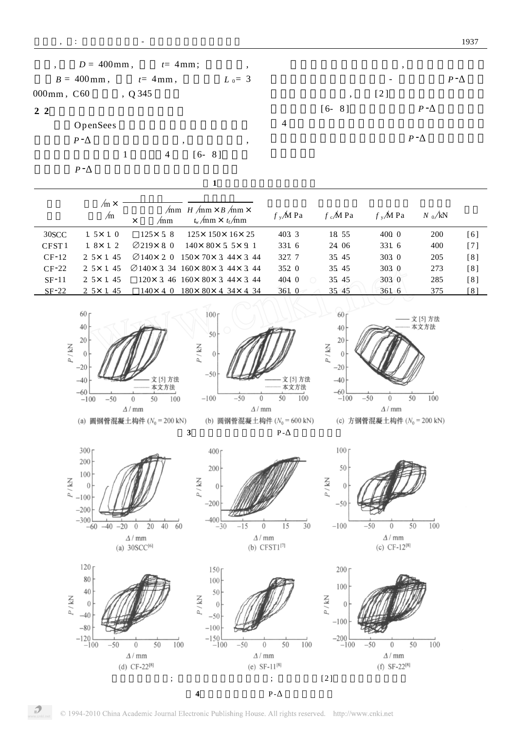|                   | $D = 400$ mm,             | $t=4$ mm;                      | $\cdot$                                                                                                   |                |                    | $\cdot$      |              |              |
|-------------------|---------------------------|--------------------------------|-----------------------------------------------------------------------------------------------------------|----------------|--------------------|--------------|--------------|--------------|
|                   | $B = 400$ mm,             | $t=4$ mm,                      | $L_0 = 3$                                                                                                 |                |                    |              |              | $P - \Delta$ |
| $000$ mm, $C60$   |                           | , Q345                         |                                                                                                           |                |                    | [2]          |              |              |
| 2 <sub>2</sub>    |                           |                                |                                                                                                           |                | $[6 - 8]$          |              | $P - \Delta$ |              |
|                   | OpenSees                  |                                |                                                                                                           | $\overline{4}$ |                    |              |              |              |
|                   | $P - \Delta$              |                                | $^\mathrm{^\mathrm{o}}$<br>$\cdot$                                                                        |                |                    | $P - \Delta$ |              |              |
|                   | 1                         | 4                              | $[6 - 8]$                                                                                                 |                |                    |              |              |              |
|                   | $P - \Delta$              |                                |                                                                                                           |                |                    |              |              |              |
|                   |                           |                                | 1                                                                                                         |                |                    |              |              |              |
|                   | $/m \times$<br>$\sqrt{m}$ | /mm<br>$\times$                | $\sqrt{mn}$ H $\sqrt{mn} \times B$ $\sqrt{mn} \times$<br>$t_{\rm w}/\text{mm} \times t_{\rm f}/\text{mm}$ | $f_y/M$ Pa     | $f_{c}$ M Pa       | $f_y/M$ Pa   | $N_0/kN$     |              |
| 30SCC             | $1.5 \times 1.0$          | $125 \times 5.8$               | $125 \times 150 \times 16 \times 25$                                                                      | 403 3          | 18 55              | 400 0        | 200          | [6]          |
| CFST <sub>1</sub> | $1.8 \times 1.2$          | $\varnothing$ 219 $\times$ 8 0 | $140 \times 80 \times 5$ 5 $\times$ 9 1                                                                   | 331 6          | 24 06              | 331 6        | 400          | $[7]$        |
| $CF-12$           | $2.5 \times 1.45$         |                                | $\varnothing$ 140×2 0 150×70×3 44×3 44                                                                    | 327.7          | 35 45              | 303 0        | 205          | [8]          |
| $CF-22$           | $2.5 \times 1.45$         |                                | $\varnothing$ 140× 3 34 160× 80× 3 44× 3 44                                                               | 352 0          | 35 45              | 303 0        | 273          | [8]          |
| $SF-11$           | $2.5 \times 1.45$         |                                | $120 \times 3$ 46 160 $\times$ 80 $\times$ 3 44 $\times$ 3 44                                             | 404 0          | 35 45<br>$\bigcap$ | 303 0        | 285          | [8]          |
| $SF-22$           | <u>2 5 x 1 45</u>         | $140 \times 4$ 0               | $180 \times 80 \times 4$ 34 $\times$ 4 34                                                                 | 361 0          | 35 45              | 361 6        | 375          | [8]          |
|                   |                           |                                |                                                                                                           |                |                    |              |              |              |



© 1994-2010 China Academic Journal Electronic Publishing House. All rights reserved. http://www.cnki.net

 $\mathcal{P}$ 

**<sup>4</sup> 框架理论与试验**<sup>P</sup> *-*<sup>∃</sup> **滞回曲线比较**